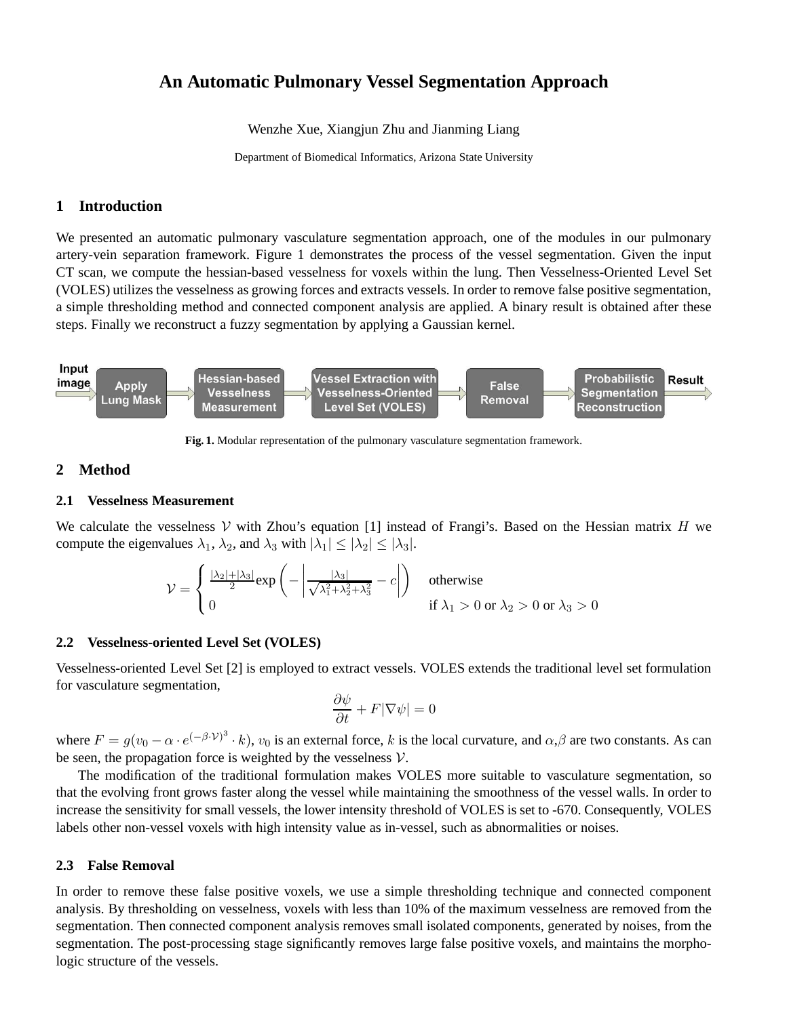# **An Automatic Pulmonary Vessel Segmentation Approach**

Wenzhe Xue, Xiangjun Zhu and Jianming Liang

Department of Biomedical Informatics, Arizona State University

## **1 Introduction**

We presented an automatic pulmonary vasculature segmentation approach, one of the modules in our pulmonary artery-vein separation framework. Figure 1 demonstrates the process of the vessel segmentation. Given the input CT scan, we compute the hessian-based vesselness for voxels within the lung. Then Vesselness-Oriented Level Set (VOLES) utilizes the vesselness as growing forces and extracts vessels. In order to remove false positive segmentation, a simple thresholding method and connected component analysis are applied. A binary result is obtained after these steps. Finally we reconstruct a fuzzy segmentation by applying a Gaussian kernel.



**Fig. 1.** Modular representation of the pulmonary vasculature segmentation framework.

## **2 Method**

#### **2.1 Vesselness Measurement**

We calculate the vesselness  $V$  with Zhou's equation [1] instead of Frangi's. Based on the Hessian matrix H we compute the eigenvalues  $\lambda_1$ ,  $\lambda_2$ , and  $\lambda_3$  with  $|\lambda_1| \leq |\lambda_2| \leq |\lambda_3|$ .

$$
\mathcal{V} = \begin{cases} \frac{|\lambda_2| + |\lambda_3|}{2} \exp\left(-\left|\frac{|\lambda_3|}{\sqrt{\lambda_1^2 + \lambda_2^2 + \lambda_3^2}} - c\right|\right) & \text{otherwise} \\ 0 & \text{if } \lambda_1 > 0 \text{ or } \lambda_2 > 0 \text{ or } \lambda_3 > 0 \end{cases}
$$

#### **2.2 Vesselness-oriented Level Set (VOLES)**

Vesselness-oriented Level Set [2] is employed to extract vessels. VOLES extends the traditional level set formulation for vasculature segmentation,

$$
\frac{\partial \psi}{\partial t} + F|\nabla \psi| = 0
$$

where  $F = g(v_0 - \alpha \cdot e^{(-\beta \cdot V)^3} \cdot k)$ ,  $v_0$  is an external force, k is the local curvature, and  $\alpha, \beta$  are two constants. As can be seen, the propagation force is weighted by the vesselness  $V$ .

The modification of the traditional formulation makes VOLES more suitable to vasculature segmentation, so that the evolving front grows faster along the vessel while maintaining the smoothness of the vessel walls. In order to increase the sensitivity for small vessels, the lower intensity threshold of VOLES is set to -670. Consequently, VOLES labels other non-vessel voxels with high intensity value as in-vessel, such as abnormalities or noises.

#### **2.3 False Removal**

In order to remove these false positive voxels, we use a simple thresholding technique and connected component analysis. By thresholding on vesselness, voxels with less than 10% of the maximum vesselness are removed from the segmentation. Then connected component analysis removes small isolated components, generated by noises, from the segmentation. The post-processing stage significantly removes large false positive voxels, and maintains the morphologic structure of the vessels.